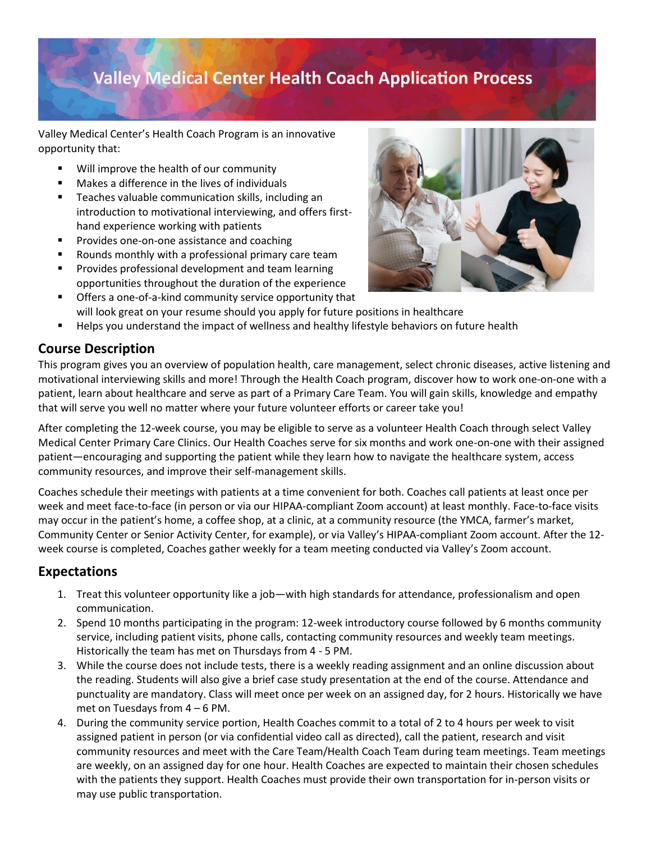## **Valley Medical Center Health Coach Application Process**

Valley Medical Center's Health Coach Program is an innovative opportunity that:

- Will improve the health of our community
- Makes a difference in the lives of individuals
- Teaches valuable communication skills, including an introduction to motivational interviewing, and offers firsthand experience working with patients
- Provides one-on-one assistance and coaching
- Rounds monthly with a professional primary care team
- **■** Provides professional development and team learning opportunities throughout the duration of the experience
- Offers a one-of-a-kind community service opportunity that will look great on your resume should you apply for future positions in healthcare
- Helps you understand the impact of wellness and healthy lifestyle behaviors on future health

### **Course Description**

This program gives you an overview of population health, care management, select chronic diseases, active listening and motivational interviewing skills and more! Through the Health Coach program, discover how to work one-on-one with a patient, learn about healthcare and serve as part of a Primary Care Team. You will gain skills, knowledge and empathy that will serve you well no matter where your future volunteer efforts or career take you!

After completing the 12-week course, you may be eligible to serve as a volunteer Health Coach through select Valley Medical Center Primary Care Clinics. Our Health Coaches serve for six months and work one-on-one with their assigned patient—encouraging and supporting the patient while they learn how to navigate the healthcare system, access community resources, and improve their self-management skills.

Coaches schedule their meetings with patients at a time convenient for both. Coaches call patients at least once per week and meet face-to-face (in person or via our HIPAA-compliant Zoom account) at least monthly. Face-to-face visits may occur in the patient's home, a coffee shop, at a clinic, at a community resource (the YMCA, farmer's market, Community Center or Senior Activity Center, for example), or via Valley's HIPAA-compliant Zoom account. After the 12 week course is completed, Coaches gather weekly for a team meeting conducted via Valley's Zoom account.

### **Expectations**

- 1. Treat this volunteer opportunity like a job—with high standards for attendance, professionalism and open communication.
- 2. Spend 10 months participating in the program: 12-week introductory course followed by 6 months community service, including patient visits, phone calls, contacting community resources and weekly team meetings. Historically the team has met on Thursdays from 4 - 5 PM.
- 3. While the course does not include tests, there is a weekly reading assignment and an online discussion about the reading. Students will also give a brief case study presentation at the end of the course. Attendance and punctuality are mandatory. Class will meet once per week on an assigned day, for 2 hours. Historically we have met on Tuesdays from 4 – 6 PM.
- 4. During the community service portion, Health Coaches commit to a total of 2 to 4 hours per week to visit assigned patient in person (or via confidential video call as directed), call the patient, research and visit community resources and meet with the Care Team/Health Coach Team during team meetings. Team meetings are weekly, on an assigned day for one hour. Health Coaches are expected to maintain their chosen schedules with the patients they support. Health Coaches must provide their own transportation for in-person visits or may use public transportation.